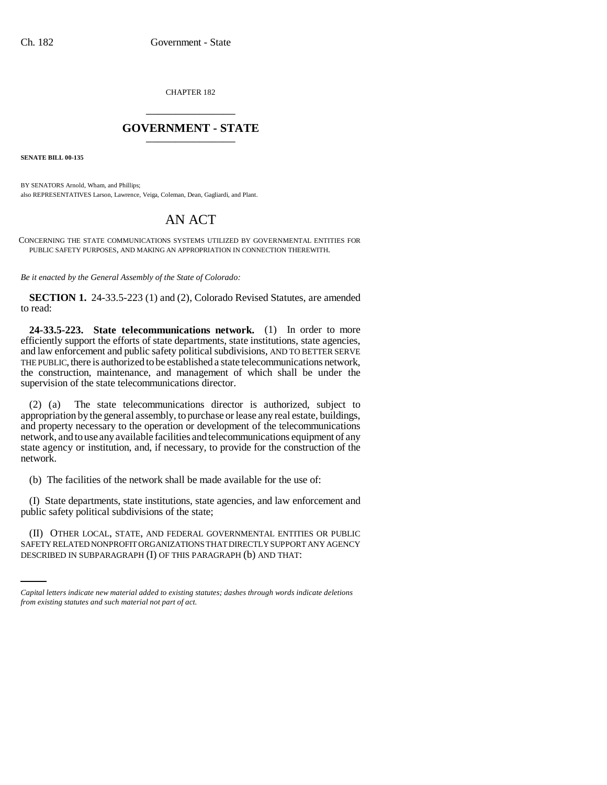CHAPTER 182 \_\_\_\_\_\_\_\_\_\_\_\_\_\_\_

## **GOVERNMENT - STATE** \_\_\_\_\_\_\_\_\_\_\_\_\_\_\_

**SENATE BILL 00-135** 

BY SENATORS Arnold, Wham, and Phillips; also REPRESENTATIVES Larson, Lawrence, Veiga, Coleman, Dean, Gagliardi, and Plant.

## AN ACT

CONCERNING THE STATE COMMUNICATIONS SYSTEMS UTILIZED BY GOVERNMENTAL ENTITIES FOR PUBLIC SAFETY PURPOSES, AND MAKING AN APPROPRIATION IN CONNECTION THEREWITH.

*Be it enacted by the General Assembly of the State of Colorado:*

**SECTION 1.** 24-33.5-223 (1) and (2), Colorado Revised Statutes, are amended to read:

**24-33.5-223. State telecommunications network.** (1) In order to more efficiently support the efforts of state departments, state institutions, state agencies, and law enforcement and public safety political subdivisions, AND TO BETTER SERVE THE PUBLIC, there is authorized to be established a state telecommunications network, the construction, maintenance, and management of which shall be under the supervision of the state telecommunications director.

(2) (a) The state telecommunications director is authorized, subject to appropriation by the general assembly, to purchase or lease any real estate, buildings, and property necessary to the operation or development of the telecommunications network, and to use any available facilities and telecommunications equipment of any state agency or institution, and, if necessary, to provide for the construction of the network.

(b) The facilities of the network shall be made available for the use of:

(I) State departments, state institutions, state agencies, and law enforcement and public safety political subdivisions of the state;

(II) OTHER LOCAL, STATE, AND FEDERAL GOVERNMENTAL ENTITIES OR PUBLIC SAFETY RELATED NONPROFIT ORGANIZATIONS THAT DIRECTLY SUPPORT ANY AGENCY DESCRIBED IN SUBPARAGRAPH (I) OF THIS PARAGRAPH (b) AND THAT:

*Capital letters indicate new material added to existing statutes; dashes through words indicate deletions from existing statutes and such material not part of act.*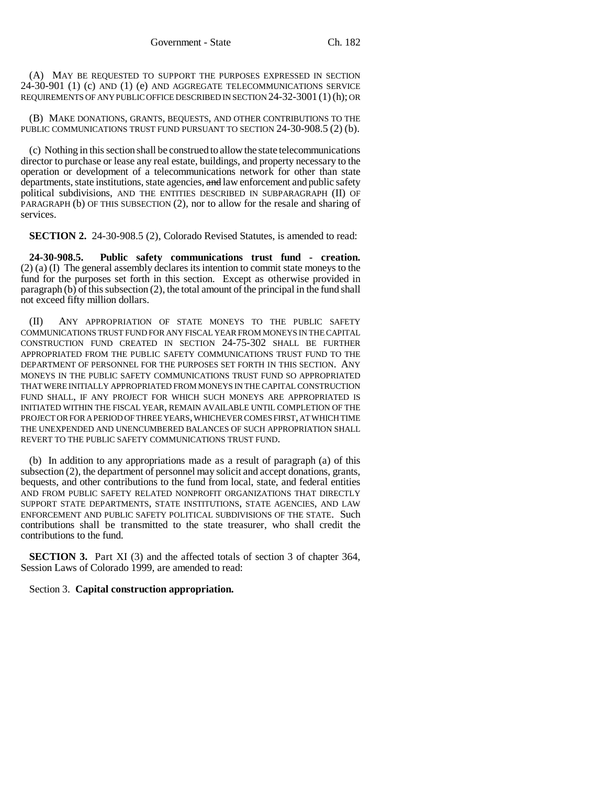(A) MAY BE REQUESTED TO SUPPORT THE PURPOSES EXPRESSED IN SECTION 24-30-901 (1) (c) AND (1) (e) AND AGGREGATE TELECOMMUNICATIONS SERVICE REQUIREMENTS OF ANY PUBLIC OFFICE DESCRIBED IN SECTION 24-32-3001 (1)(h); OR

(B) MAKE DONATIONS, GRANTS, BEQUESTS, AND OTHER CONTRIBUTIONS TO THE PUBLIC COMMUNICATIONS TRUST FUND PURSUANT TO SECTION 24-30-908.5 (2) (b).

(c) Nothing in this section shall be construed to allow the state telecommunications director to purchase or lease any real estate, buildings, and property necessary to the operation or development of a telecommunications network for other than state departments, state institutions, state agencies, and law enforcement and public safety political subdivisions, AND THE ENTITIES DESCRIBED IN SUBPARAGRAPH (II) OF PARAGRAPH (b) OF THIS SUBSECTION (2), nor to allow for the resale and sharing of services.

**SECTION 2.** 24-30-908.5 (2), Colorado Revised Statutes, is amended to read:

**24-30-908.5. Public safety communications trust fund - creation.** (2) (a) (I) The general assembly declares its intention to commit state moneys to the fund for the purposes set forth in this section. Except as otherwise provided in paragraph (b) of this subsection (2), the total amount of the principal in the fund shall not exceed fifty million dollars.

(II) ANY APPROPRIATION OF STATE MONEYS TO THE PUBLIC SAFETY COMMUNICATIONS TRUST FUND FOR ANY FISCAL YEAR FROM MONEYS IN THE CAPITAL CONSTRUCTION FUND CREATED IN SECTION 24-75-302 SHALL BE FURTHER APPROPRIATED FROM THE PUBLIC SAFETY COMMUNICATIONS TRUST FUND TO THE DEPARTMENT OF PERSONNEL FOR THE PURPOSES SET FORTH IN THIS SECTION. ANY MONEYS IN THE PUBLIC SAFETY COMMUNICATIONS TRUST FUND SO APPROPRIATED THAT WERE INITIALLY APPROPRIATED FROM MONEYS IN THE CAPITAL CONSTRUCTION FUND SHALL, IF ANY PROJECT FOR WHICH SUCH MONEYS ARE APPROPRIATED IS INITIATED WITHIN THE FISCAL YEAR, REMAIN AVAILABLE UNTIL COMPLETION OF THE PROJECT OR FOR A PERIOD OF THREE YEARS, WHICHEVER COMES FIRST, AT WHICH TIME THE UNEXPENDED AND UNENCUMBERED BALANCES OF SUCH APPROPRIATION SHALL REVERT TO THE PUBLIC SAFETY COMMUNICATIONS TRUST FUND.

(b) In addition to any appropriations made as a result of paragraph (a) of this subsection (2), the department of personnel may solicit and accept donations, grants, bequests, and other contributions to the fund from local, state, and federal entities AND FROM PUBLIC SAFETY RELATED NONPROFIT ORGANIZATIONS THAT DIRECTLY SUPPORT STATE DEPARTMENTS, STATE INSTITUTIONS, STATE AGENCIES, AND LAW ENFORCEMENT AND PUBLIC SAFETY POLITICAL SUBDIVISIONS OF THE STATE. Such contributions shall be transmitted to the state treasurer, who shall credit the contributions to the fund.

**SECTION 3.** Part XI (3) and the affected totals of section 3 of chapter 364, Session Laws of Colorado 1999, are amended to read:

Section 3. **Capital construction appropriation.**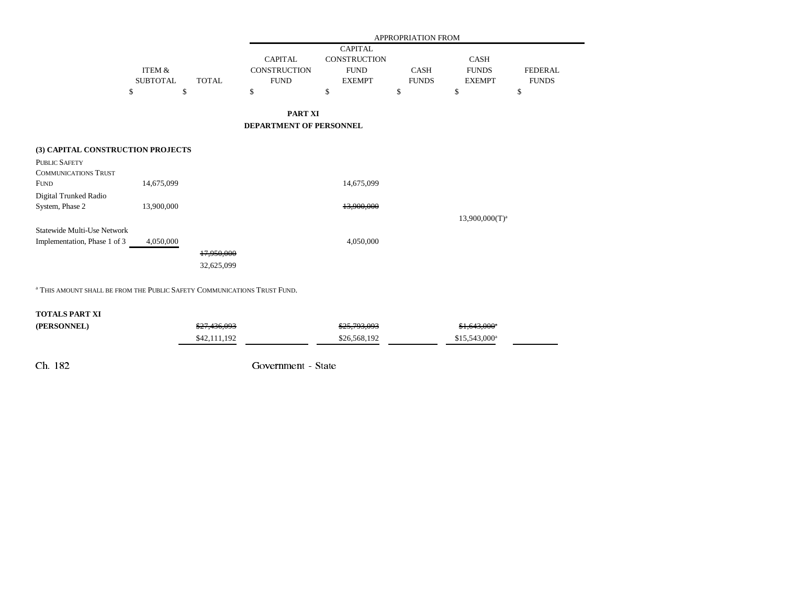|                                              |                 |              | APPROPRIATION FROM                    |                                                      |              |                   |                |
|----------------------------------------------|-----------------|--------------|---------------------------------------|------------------------------------------------------|--------------|-------------------|----------------|
|                                              |                 |              | <b>CAPITAL</b><br><b>CONSTRUCTION</b> | <b>CAPITAL</b><br><b>CONSTRUCTION</b><br><b>FUND</b> |              | <b>CASH</b>       |                |
|                                              | ITEM &          |              |                                       |                                                      | <b>CASH</b>  | <b>FUNDS</b>      | <b>FEDERAL</b> |
|                                              | <b>SUBTOTAL</b> | <b>TOTAL</b> | <b>FUND</b>                           | <b>EXEMPT</b>                                        | <b>FUNDS</b> | <b>EXEMPT</b>     | <b>FUNDS</b>   |
|                                              | \$              | \$           | \$                                    | \$                                                   | \$           | \$                | \$             |
|                                              |                 |              | PART XI                               |                                                      |              |                   |                |
|                                              |                 |              | DEPARTMENT OF PERSONNEL               |                                                      |              |                   |                |
| (3) CAPITAL CONSTRUCTION PROJECTS            |                 |              |                                       |                                                      |              |                   |                |
| PUBLIC SAFETY<br><b>COMMUNICATIONS TRUST</b> |                 |              |                                       |                                                      |              |                   |                |
| <b>FUND</b>                                  | 14,675,099      |              |                                       | 14,675,099                                           |              |                   |                |
| Digital Trunked Radio                        |                 |              |                                       |                                                      |              |                   |                |
| System, Phase 2                              | 13,900,000      |              |                                       | 13,900,000                                           |              |                   |                |
| Statewide Multi-Use Network                  |                 |              |                                       |                                                      |              | $13,900,000(T)^a$ |                |
| Implementation, Phase 1 of 3                 | 4,050,000       |              |                                       | 4,050,000                                            |              |                   |                |
|                                              |                 | 17,950,000   |                                       |                                                      |              |                   |                |
|                                              |                 | 32,625,099   |                                       |                                                      |              |                   |                |
|                                              |                 |              |                                       |                                                      |              |                   |                |

<sup>a</sup> This amount shall be from the Public Safety Communications Trust Fund.

## **TOTALS PART XI**

| (PERSONNEL) | \$27,436,093 | \$25,793,093 | $$1,643,000$ <sup>a</sup> |
|-------------|--------------|--------------|---------------------------|
|             | \$42,111,192 | \$26,568,192 | $$15.543.000^a$           |

Ch. 182 Government - State